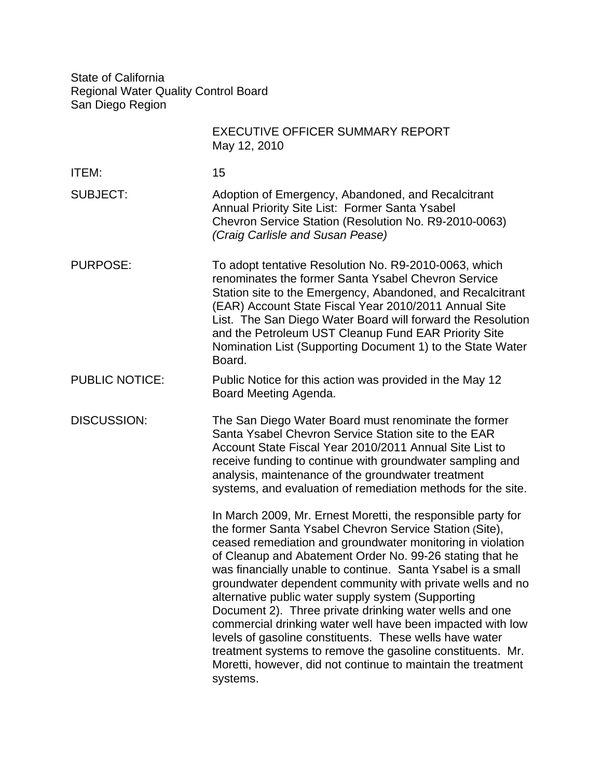State of California Regional Water Quality Control Board San Diego Region

|                       | <b>EXECUTIVE OFFICER SUMMARY REPORT</b><br>May 12, 2010                                                                                                                                                                                                                                                                                                                                                                                                                                                                                                                                                                                                                                                                                                           |
|-----------------------|-------------------------------------------------------------------------------------------------------------------------------------------------------------------------------------------------------------------------------------------------------------------------------------------------------------------------------------------------------------------------------------------------------------------------------------------------------------------------------------------------------------------------------------------------------------------------------------------------------------------------------------------------------------------------------------------------------------------------------------------------------------------|
| ITEM:                 | 15                                                                                                                                                                                                                                                                                                                                                                                                                                                                                                                                                                                                                                                                                                                                                                |
| <b>SUBJECT:</b>       | Adoption of Emergency, Abandoned, and Recalcitrant<br>Annual Priority Site List: Former Santa Ysabel<br>Chevron Service Station (Resolution No. R9-2010-0063)<br>(Craig Carlisle and Susan Pease)                                                                                                                                                                                                                                                                                                                                                                                                                                                                                                                                                                 |
| <b>PURPOSE:</b>       | To adopt tentative Resolution No. R9-2010-0063, which<br>renominates the former Santa Ysabel Chevron Service<br>Station site to the Emergency, Abandoned, and Recalcitrant<br>(EAR) Account State Fiscal Year 2010/2011 Annual Site<br>List. The San Diego Water Board will forward the Resolution<br>and the Petroleum UST Cleanup Fund EAR Priority Site<br>Nomination List (Supporting Document 1) to the State Water<br>Board.                                                                                                                                                                                                                                                                                                                                |
| <b>PUBLIC NOTICE:</b> | Public Notice for this action was provided in the May 12<br>Board Meeting Agenda.                                                                                                                                                                                                                                                                                                                                                                                                                                                                                                                                                                                                                                                                                 |
| <b>DISCUSSION:</b>    | The San Diego Water Board must renominate the former<br>Santa Ysabel Chevron Service Station site to the EAR<br>Account State Fiscal Year 2010/2011 Annual Site List to<br>receive funding to continue with groundwater sampling and<br>analysis, maintenance of the groundwater treatment<br>systems, and evaluation of remediation methods for the site.                                                                                                                                                                                                                                                                                                                                                                                                        |
|                       | In March 2009, Mr. Ernest Moretti, the responsible party for<br>the former Santa Ysabel Chevron Service Station (Site),<br>ceased remediation and groundwater monitoring in violation<br>of Cleanup and Abatement Order No. 99-26 stating that he<br>was financially unable to continue. Santa Ysabel is a small<br>groundwater dependent community with private wells and no<br>alternative public water supply system (Supporting<br>Document 2). Three private drinking water wells and one<br>commercial drinking water well have been impacted with low<br>levels of gasoline constituents. These wells have water<br>treatment systems to remove the gasoline constituents. Mr.<br>Moretti, however, did not continue to maintain the treatment<br>systems. |